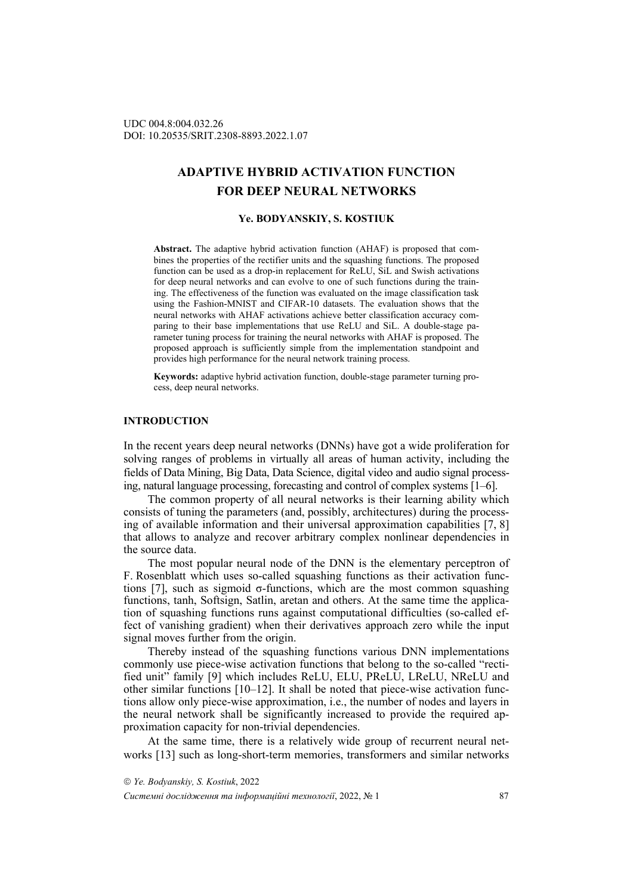# **ADAPTIVE HYBRID ACTIVATION FUNCTION FOR DEEP NEURAL NETWORKS**

# **Ye. BODYANSKIY, S. KOSTIUK**

**Abstract.** The adaptive hybrid activation function (AHAF) is proposed that combines the properties of the rectifier units and the squashing functions. The proposed function can be used as a drop-in replacement for ReLU, SiL and Swish activations for deep neural networks and can evolve to one of such functions during the training. The effectiveness of the function was evaluated on the image classification task using the Fashion-MNIST and CIFAR-10 datasets. The evaluation shows that the neural networks with AHAF activations achieve better classification accuracy comparing to their base implementations that use ReLU and SiL. A double-stage parameter tuning process for training the neural networks with AHAF is proposed. The proposed approach is sufficiently simple from the implementation standpoint and provides high performance for the neural network training process.

**Keywords:** adaptive hybrid activation function, double-stage parameter turning process, deep neural networks.

#### **INTRODUCTION**

In the recent years deep neural networks (DNNs) have got a wide proliferation for solving ranges of problems in virtually all areas of human activity, including the fields of Data Mining, Big Data, Data Science, digital video and audio signal processing, natural language processing, forecasting and control of complex systems [1–6].

The common property of all neural networks is their learning ability which consists of tuning the parameters (and, possibly, architectures) during the processing of available information and their universal approximation capabilities [7, 8] that allows to analyze and recover arbitrary complex nonlinear dependencies in the source data.

The most popular neural node of the DNN is the elementary perceptron of F. Rosenblatt which uses so-called squashing functions as their activation functions [7], such as sigmoid σ-functions, which are the most common squashing functions, tanh, Softsign, Satlin, aretan and others. At the same time the application of squashing functions runs against computational difficulties (so-called effect of vanishing gradient) when their derivatives approach zero while the input signal moves further from the origin.

Thereby instead of the squashing functions various DNN implementations commonly use piece-wise activation functions that belong to the so-called "rectified unit" family [9] which includes ReLU, ELU, PReLU, LReLU, NReLU and other similar functions [10–12]. It shall be noted that piece-wise activation functions allow only piece-wise approximation, i.e., the number of nodes and layers in the neural network shall be significantly increased to provide the required approximation capacity for non-trivial dependencies.

At the same time, there is a relatively wide group of recurrent neural networks [13] such as long-short-term memories, transformers and similar networks

 *Ye. Bodyanskiy, S. Kostiuk*, 2022 *Системні дослідження та інформаційні технології*, 2022, № 1 87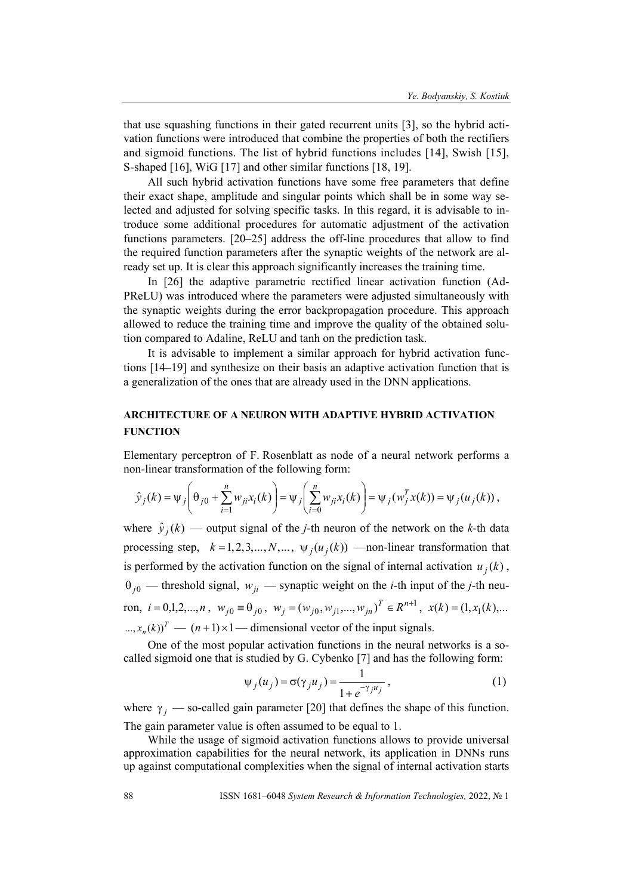that use squashing functions in their gated recurrent units [3], so the hybrid activation functions were introduced that combine the properties of both the rectifiers and sigmoid functions. The list of hybrid functions includes [14], Swish [15], S-shaped [16], WiG [17] and other similar functions [18, 19].

All such hybrid activation functions have some free parameters that define their exact shape, amplitude and singular points which shall be in some way selected and adjusted for solving specific tasks. In this regard, it is advisable to introduce some additional procedures for automatic adjustment of the activation functions parameters. [20–25] address the off-line procedures that allow to find the required function parameters after the synaptic weights of the network are already set up. It is clear this approach significantly increases the training time.

In [26] the adaptive parametric rectified linear activation function (Ad-PReLU) was introduced where the parameters were adjusted simultaneously with the synaptic weights during the error backpropagation procedure. This approach allowed to reduce the training time and improve the quality of the obtained solution compared to Adaline, ReLU and tanh on the prediction task.

It is advisable to implement a similar approach for hybrid activation functions [14–19] and synthesize on their basis an adaptive activation function that is a generalization of the ones that are already used in the DNN applications.

# **ARCHITECTURE OF A NEURON WITH ADAPTIVE HYBRID ACTIVATION FUNCTION**

Elementary perceptron of F. Rosenblatt as node of a neural network performs a non-linear transformation of the following form:

$$
\hat{y}_j(k) = \psi_j \left( \theta_{j0} + \sum_{i=1}^n w_{ji} x_i(k) \right) = \psi_j \left( \sum_{i=0}^n w_{ji} x_i(k) \right) = \psi_j \left( w_j^T x(k) \right) = \psi_j \left( u_j(k) \right),
$$

where  $\hat{y}_i(k)$  — output signal of the *j*-th neuron of the network on the *k*-th data processing step,  $k = 1, 2, 3, ..., N, ..., \psi_i(u_i(k))$  —non-linear transformation that is performed by the activation function on the signal of internal activation  $u_j(k)$ ,  $\theta_{i0}$  — threshold signal,  $w_{ii}$  — synaptic weight on the *i*-th input of the *j*-th neuron,  $i = 0,1,2,...,n$ ,  $w_{j0} \equiv \theta_{j0}$ ,  $w_j = (w_{j0}, w_{j1},...,w_{jn})^T \in R^{n+1}$ ,  $x(k) = (1, x_1(k),...$  $T_{n,m}(k)$ <sup>T</sup> —  $(n+1) \times 1$  — dimensional vector of the input signals.

One of the most popular activation functions in the neural networks is a socalled sigmoid one that is studied by G. Cybenko [7] and has the following form:

$$
\Psi_j(u_j) = \sigma(\gamma_j u_j) = \frac{1}{1 + e^{-\gamma_j u_j}},\tag{1}
$$

where  $\gamma_i$  — so-called gain parameter [20] that defines the shape of this function. The gain parameter value is often assumed to be equal to 1.

While the usage of sigmoid activation functions allows to provide universal approximation capabilities for the neural network, its application in DNNs runs up against computational complexities when the signal of internal activation starts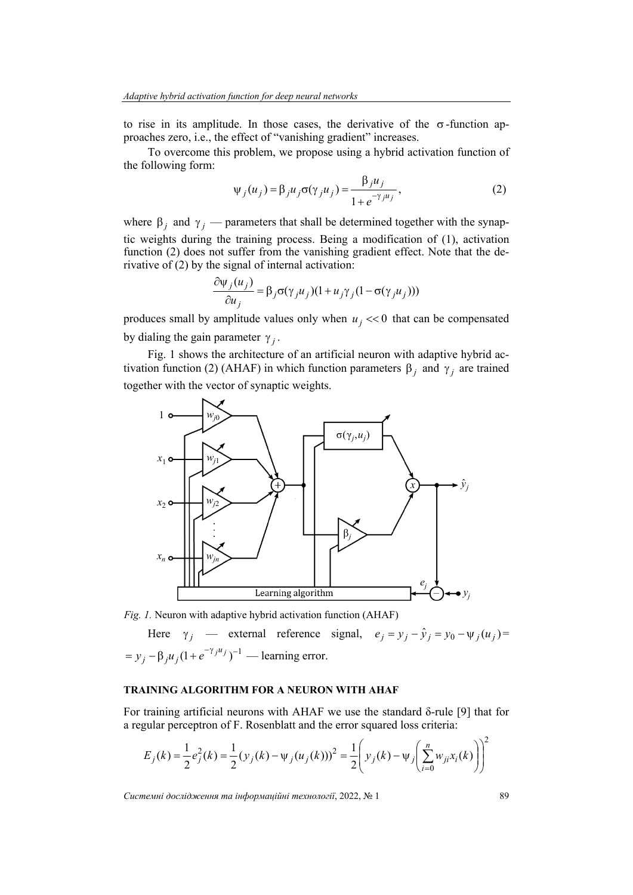to rise in its amplitude. In those cases, the derivative of the  $\sigma$ -function approaches zero, i.e., the effect of "vanishing gradient" increases.

To overcome this problem, we propose using a hybrid activation function of the following form:

$$
\psi_j(u_j) = \beta_j u_j \sigma(\gamma_j u_j) = \frac{\beta_j u_j}{1 + e^{-\gamma_j u_j}},
$$
\n(2)

where  $\beta_j$  and  $\gamma_j$  — parameters that shall be determined together with the synaptic weights during the training process. Being a modification of (1), activation function (2) does not suffer from the vanishing gradient effect. Note that the derivative of (2) by the signal of internal activation:

$$
\frac{\partial \psi_j(u_j)}{\partial u_j} = \beta_j \sigma(\gamma_j u_j) (1 + u_j \gamma_j (1 - \sigma(\gamma_j u_j)))
$$

produces small by amplitude values only when  $u_j \ll 0$  that can be compensated by dialing the gain parameter  $\gamma_i$ .

Fig. 1 shows the architecture of an artificial neuron with adaptive hybrid activation function (2) (AHAF) in which function parameters  $\beta_i$  and  $\gamma_i$  are trained together with the vector of synaptic weights.



*Fig. 1.* Neuron with adaptive hybrid activation function (AHAF)

Here 
$$
\gamma_j
$$
 — external reference signal,  $e_j = y_j - \hat{y}_j = y_0 - \psi_j(u_j) =$   
=  $y_j - \beta_j u_j (1 + e^{-\gamma_j u_j})^{-1}$  — learning error.

# **TRAINING ALGORITHM FOR A NEURON WITH AHAF**

For training artificial neurons with AHAF we use the standard δ-rule [9] that for a regular perceptron of F. Rosenblatt and the error squared loss criteria:

$$
E_j(k) = \frac{1}{2}e_j^2(k) = \frac{1}{2}(y_j(k) - \psi_j(u_j(k)))^2 = \frac{1}{2}\left(y_j(k) - \psi_j\left(\sum_{i=0}^n w_{ji}x_i(k)\right)\right)^2
$$

*Системні дослідження та інформаційні технології*, 2022, № 1 89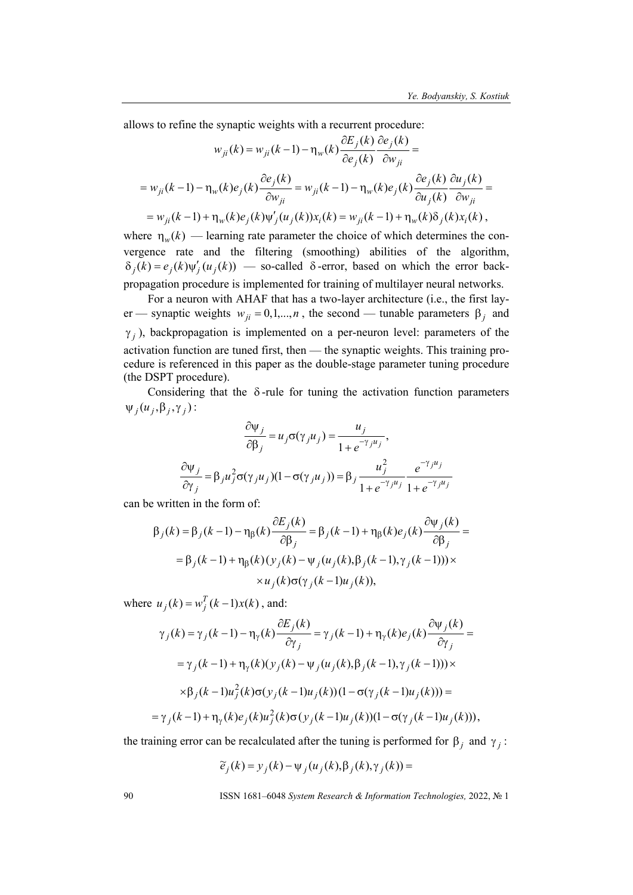allows to refine the synaptic weights with a recurrent procedure:

$$
w_{ji}(k) = w_{ji}(k-1) - \eta_w(k) \frac{\partial E_j(k)}{\partial e_j(k)} \frac{\partial e_j(k)}{\partial w_{ji}} =
$$
  
= 
$$
w_{ji}(k-1) - \eta_w(k) e_j(k) \frac{\partial e_j(k)}{\partial w_{ji}} = w_{ji}(k-1) - \eta_w(k) e_j(k) \frac{\partial e_j(k)}{\partial u_j(k)} \frac{\partial u_j(k)}{\partial w_{ji}} =
$$
  
= 
$$
w_{ji}(k-1) + \eta_w(k) e_j(k) \psi'_j(u_j(k)) x_i(k) = w_{ji}(k-1) + \eta_w(k) \delta_j(k) x_i(k),
$$

where  $\eta_w(k)$  — learning rate parameter the choice of which determines the convergence rate and the filtering (smoothing) abilities of the algorithm,  $\delta_i(k) = e_i(k)\psi'_i(u_i(k))$  — so-called  $\delta$ -error, based on which the error backpropagation procedure is implemented for training of multilayer neural networks.

For a neuron with AHAF that has a two-layer architecture (i.e., the first layer — synaptic weights  $w_{ii} = 0, 1, \ldots, n$ , the second — tunable parameters  $\beta_i$  and  $\gamma_i$ ), backpropagation is implemented on a per-neuron level: parameters of the activation function are tuned first, then — the synaptic weights. This training procedure is referenced in this paper as the double-stage parameter tuning procedure (the DSPT procedure).

Considering that the  $\delta$ -rule for tuning the activation function parameters  $\Psi_i (u_i, \beta_i, \gamma_i)$ :

$$
\frac{\partial \psi_j}{\partial \beta_j} = u_j \sigma(\gamma_j u_j) = \frac{u_j}{1 + e^{-\gamma_j u_j}},
$$

$$
\frac{\partial \psi_j}{\partial \gamma_j} = \beta_j u_j^2 \sigma(\gamma_j u_j) (1 - \sigma(\gamma_j u_j)) = \beta_j \frac{u_j^2}{1 + e^{-\gamma_j u_j}} \frac{e^{-\gamma_j u_j}}{1 + e^{-\gamma_j u_j}}
$$

can be written in the form of:

$$
\beta_j(k) = \beta_j(k-1) - \eta_{\beta}(k) \frac{\partial E_j(k)}{\partial \beta_j} = \beta_j(k-1) + \eta_{\beta}(k) e_j(k) \frac{\partial \psi_j(k)}{\partial \beta_j} =
$$
  
=  $\beta_j(k-1) + \eta_{\beta}(k) (y_j(k) - \psi_j(u_j(k), \beta_j(k-1), \gamma_j(k-1))) \times$   
 $\times u_j(k) \sigma(\gamma_j(k-1)u_j(k)),$ 

where  $u_j(k) = w_j^T(k-1)x(k)$ , and:

$$
\gamma_j(k) = \gamma_j(k-1) - \eta_\gamma(k) \frac{\partial E_j(k)}{\partial \gamma_j} = \gamma_j(k-1) + \eta_\gamma(k) e_j(k) \frac{\partial \psi_j(k)}{\partial \gamma_j} =
$$
  

$$
= \gamma_j(k-1) + \eta_\gamma(k) (\gamma_j(k) - \psi_j(u_j(k), \beta_j(k-1), \gamma_j(k-1))) \times
$$
  

$$
\times \beta_j(k-1) u_j^2(k) \sigma(\gamma_j(k-1) u_j(k)) (1 - \sigma(\gamma_j(k-1) u_j(k))) =
$$
  

$$
= \gamma_j(k-1) + \eta_\gamma(k) e_j(k) u_j^2(k) \sigma(\gamma_j(k-1) u_j(k)) (1 - \sigma(\gamma_j(k-1) u_j(k))),
$$

the training error can be recalculated after the tuning is performed for  $\beta_j$  and  $\gamma_j$ :

$$
\widetilde{e}_j(k) = y_j(k) - \psi_j(u_j(k), \beta_j(k), \gamma_j(k)) =
$$

90 ISSN 1681–6048 *System Research & Information Technologies,* 2022, № 1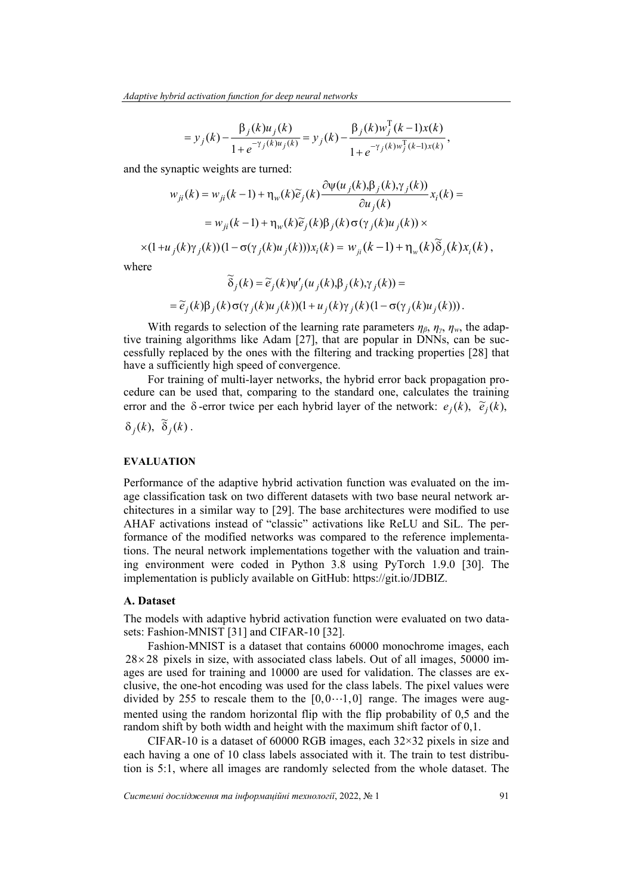$$
= y_j(k) - \frac{\beta_j(k)u_j(k)}{1 + e^{-\gamma_j(k)u_j(k)}} = y_j(k) - \frac{\beta_j(k)w_j^{\mathrm{T}}(k-1)x(k)}{1 + e^{-\gamma_j(k)w_j^{\mathrm{T}}(k-1)x(k)}},
$$

and the synaptic weights are turned:

$$
w_{ji}(k) = w_{ji}(k-1) + \eta_w(k)\widetilde{e}_j(k)\frac{\partial \psi(u_j(k),\beta_j(k),\gamma_j(k))}{\partial u_j(k)}x_i(k) =
$$
  

$$
= w_{ji}(k-1) + \eta_w(k)\widetilde{e}_j(k)\beta_j(k)\sigma(\gamma_j(k)u_j(k)) \times
$$
  

$$
\times (1+u_j(k)\gamma_j(k))(1-\sigma(\gamma_j(k)u_j(k)))x_i(k) = w_{ji}(k-1) + \eta_w(k)\widetilde{\delta}_j(k)x_i(k),
$$

where

$$
\widetilde{\delta}_j(k) = \widetilde{e}_j(k)\psi'_j(u_j(k), \beta_j(k), \gamma_j(k)) =
$$
  
= 
$$
\widetilde{e}_j(k)\beta_j(k)\sigma(\gamma_j(k)u_j(k))(1 + u_j(k)\gamma_j(k)(1 - \sigma(\gamma_j(k)u_j(k))).
$$

With regards to selection of the learning rate parameters  $\eta_{\beta}$ ,  $\eta_{\gamma}$ ,  $\eta_{w}$ , the adaptive training algorithms like Adam [27], that are popular in DNNs, can be successfully replaced by the ones with the filtering and tracking properties [28] that have a sufficiently high speed of convergence.

For training of multi-layer networks, the hybrid error back propagation procedure can be used that, comparing to the standard one, calculates the training error and the  $\delta$ -error twice per each hybrid layer of the network:  $e_i(k)$ ,  $\tilde{e}_i(k)$ ,

$$
\delta_j(k), \ \widetilde{\delta}_j(k).
$$

#### **EVALUATION**

Performance of the adaptive hybrid activation function was evaluated on the image classification task on two different datasets with two base neural network architectures in a similar way to [29]. The base architectures were modified to use AHAF activations instead of "classic" activations like ReLU and SiL. The performance of the modified networks was compared to the reference implementations. The neural network implementations together with the valuation and training environment were coded in Python 3.8 using PyTorch 1.9.0 [30]. The implementation is publicly available on GitHub: https://git.io/JDBIZ.

#### **A. Dataset**

The models with adaptive hybrid activation function were evaluated on two datasets: Fashion-MNIST [31] and CIFAR-10 [32].

Fashion-MNIST is a dataset that contains 60000 monochrome images, each  $28 \times 28$  pixels in size, with associated class labels. Out of all images, 50000 images are used for training and 10000 are used for validation. The classes are exclusive, the one-hot encoding was used for the class labels. The pixel values were divided by 255 to rescale them to the  $[0,0...1,0]$  range. The images were augmented using the random horizontal flip with the flip probability of 0,5 and the random shift by both width and height with the maximum shift factor of 0,1.

CIFAR-10 is a dataset of 60000 RGB images, each  $32\times32$  pixels in size and each having a one of 10 class labels associated with it. The train to test distribution is 5:1, where all images are randomly selected from the whole dataset. The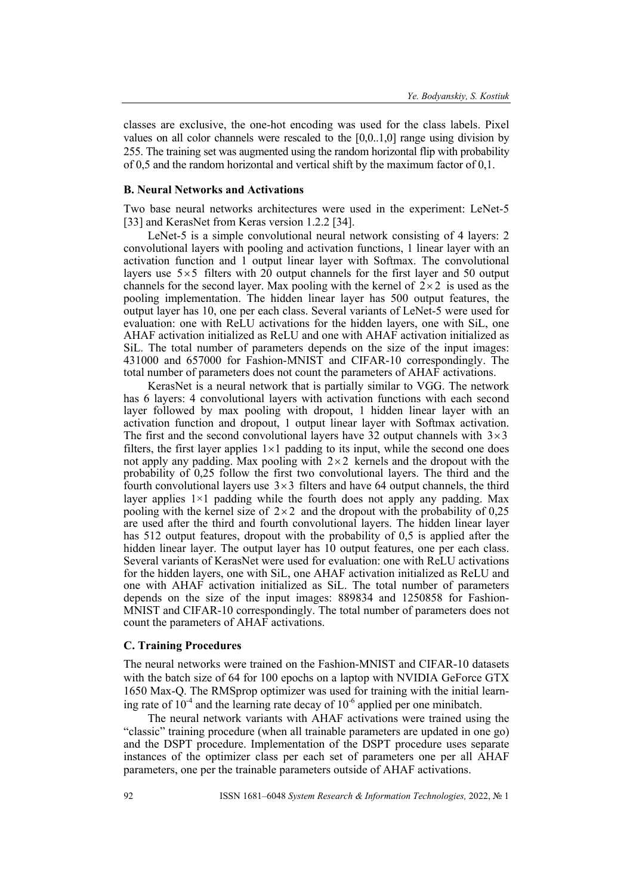classes are exclusive, the one-hot encoding was used for the class labels. Pixel values on all color channels were rescaled to the [0,0..1,0] range using division by 255. The training set was augmented using the random horizontal flip with probability of 0,5 and the random horizontal and vertical shift by the maximum factor of 0,1.

#### **B. Neural Networks and Activations**

Two base neural networks architectures were used in the experiment: LeNet-5 [33] and KerasNet from Keras version 1.2.2 [34].

LeNet-5 is a simple convolutional neural network consisting of 4 layers: 2 convolutional layers with pooling and activation functions, 1 linear layer with an activation function and 1 output linear layer with Softmax. The convolutional layers use  $5\times5$  filters with 20 output channels for the first layer and 50 output channels for the second layer. Max pooling with the kernel of  $2 \times 2$  is used as the pooling implementation. The hidden linear layer has 500 output features, the output layer has 10, one per each class. Several variants of LeNet-5 were used for evaluation: one with ReLU activations for the hidden layers, one with SiL, one AHAF activation initialized as ReLU and one with AHAF activation initialized as SiL. The total number of parameters depends on the size of the input images: 431000 and 657000 for Fashion-MNIST and CIFAR-10 correspondingly. The total number of parameters does not count the parameters of AHAF activations.

KerasNet is a neural network that is partially similar to VGG. The network has 6 layers: 4 convolutional layers with activation functions with each second layer followed by max pooling with dropout, 1 hidden linear layer with an activation function and dropout, 1 output linear layer with Softmax activation. The first and the second convolutional layers have 32 output channels with  $3\times3$ filters, the first layer applies  $1 \times 1$  padding to its input, while the second one does not apply any padding. Max pooling with  $2 \times 2$  kernels and the dropout with the probability of 0,25 follow the first two convolutional layers. The third and the fourth convolutional layers use  $3 \times 3$  filters and have 64 output channels, the third layer applies 1×1 padding while the fourth does not apply any padding. Max pooling with the kernel size of  $2 \times 2$  and the dropout with the probability of 0,25 are used after the third and fourth convolutional layers. The hidden linear layer has 512 output features, dropout with the probability of 0,5 is applied after the hidden linear layer. The output layer has 10 output features, one per each class. Several variants of KerasNet were used for evaluation: one with ReLU activations for the hidden layers, one with SiL, one AHAF activation initialized as ReLU and one with AHAF activation initialized as SiL. The total number of parameters depends on the size of the input images: 889834 and 1250858 for Fashion-MNIST and CIFAR-10 correspondingly. The total number of parameters does not count the parameters of AHAF activations.

# **C. Training Procedures**

The neural networks were trained on the Fashion-MNIST and CIFAR-10 datasets with the batch size of 64 for 100 epochs on a laptop with NVIDIA GeForce GTX 1650 Max-Q. The RMSprop optimizer was used for training with the initial learning rate of  $10^{-4}$  and the learning rate decay of  $10^{-6}$  applied per one minibatch.

The neural network variants with AHAF activations were trained using the "classic" training procedure (when all trainable parameters are updated in one go) and the DSPT procedure. Implementation of the DSPT procedure uses separate instances of the optimizer class per each set of parameters one per all AHAF parameters, one per the trainable parameters outside of AHAF activations.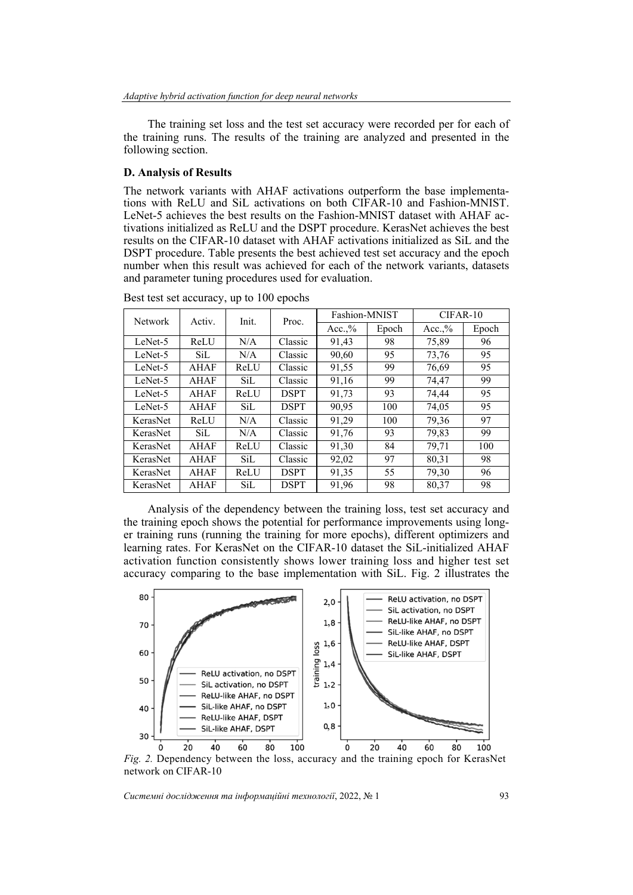The training set loss and the test set accuracy were recorded per for each of the training runs. The results of the training are analyzed and presented in the following section.

# **D. Analysis of Results**

The network variants with AHAF activations outperform the base implementations with ReLU and SiL activations on both CIFAR-10 and Fashion-MNIST. LeNet-5 achieves the best results on the Fashion-MNIST dataset with AHAF activations initialized as ReLU and the DSPT procedure. KerasNet achieves the best results on the CIFAR-10 dataset with AHAF activations initialized as SiL and the DSPT procedure. Table presents the best achieved test set accuracy and the epoch number when this result was achieved for each of the network variants, datasets and parameter tuning procedures used for evaluation.

| <b>Network</b> | Activ. | Init. | Proc.       | Fashion-MNIST |       | $CIFAR-10$ |       |
|----------------|--------|-------|-------------|---------------|-------|------------|-------|
|                |        |       |             | Acc.,%        | Epoch | Acc.,%     | Epoch |
| LeNet-5        | ReLU   | N/A   | Classic     | 91,43         | 98    | 75,89      | 96    |
| LeNet-5        | SiL    | N/A   | Classic     | 90,60         | 95    | 73,76      | 95    |
| LeNet-5        | AHAF   | ReLU  | Classic     | 91,55         | 99    | 76,69      | 95    |
| LeNet-5        | AHAF   | SiL   | Classic     | 91,16         | 99    | 74,47      | 99    |
| LeNet-5        | AHAF   | ReLU  | <b>DSPT</b> | 91,73         | 93    | 74,44      | 95    |
| LeNet-5        | AHAF   | SiL   | <b>DSPT</b> | 90,95         | 100   | 74,05      | 95    |
| KerasNet       | ReLU   | N/A   | Classic     | 91,29         | 100   | 79,36      | 97    |
| KerasNet       | SiL    | N/A   | Classic     | 91,76         | 93    | 79,83      | 99    |
| KerasNet       | AHAF   | ReLU  | Classic     | 91,30         | 84    | 79,71      | 100   |
| KerasNet       | AHAF   | SiL   | Classic     | 92,02         | 97    | 80,31      | 98    |
| KerasNet       | AHAF   | ReLU  | <b>DSPT</b> | 91,35         | 55    | 79,30      | 96    |
| KerasNet       | AHAF   | SiL   | <b>DSPT</b> | 91,96         | 98    | 80,37      | 98    |

Best test set accuracy, up to 100 epochs

Analysis of the dependency between the training loss, test set accuracy and the training epoch shows the potential for performance improvements using longer training runs (running the training for more epochs), different optimizers and learning rates. For KerasNet on the CIFAR-10 dataset the SiL-initialized AHAF activation function consistently shows lower training loss and higher test set accuracy comparing to the base implementation with SiL. Fig. 2 illustrates the



*Fig. 2.* Dependency between the loss, accuracy and the training epoch for KerasNet network on CIFAR-10

*Системні дослідження та інформаційні технології*, 2022, № 1 93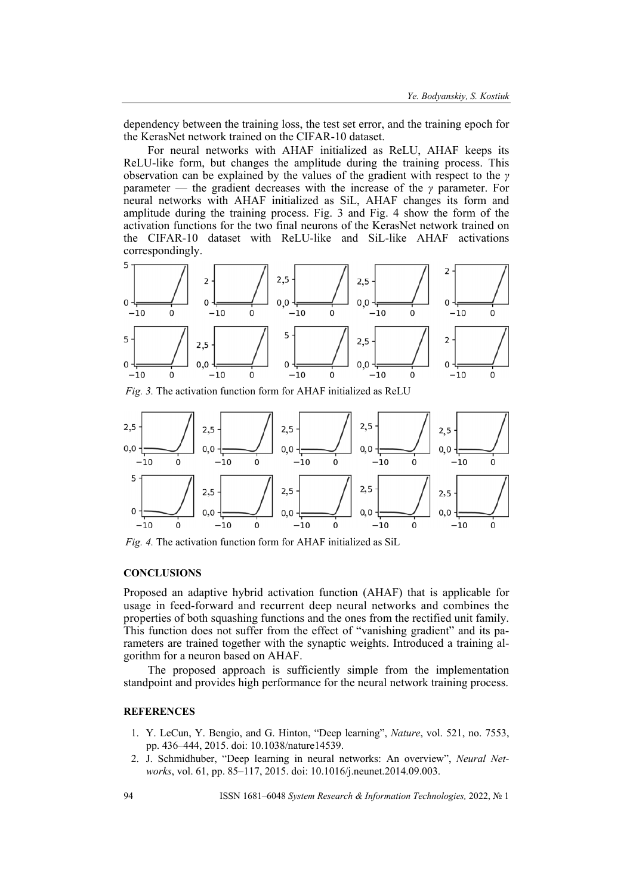dependency between the training loss, the test set error, and the training epoch for the KerasNet network trained on the CIFAR-10 dataset.

For neural networks with AHAF initialized as ReLU, AHAF keeps its ReLU-like form, but changes the amplitude during the training process. This observation can be explained by the values of the gradient with respect to the *γ* parameter — the gradient decreases with the increase of the *γ* parameter. For neural networks with AHAF initialized as SiL, AHAF changes its form and amplitude during the training process. Fig. 3 and Fig. 4 show the form of the activation functions for the two final neurons of the KerasNet network trained on the CIFAR-10 dataset with ReLU-like and SiL-like AHAF activations correspondingly.



*Fig. 3.* The activation function form for AHAF initialized as ReLU



*Fig. 4.* The activation function form for AHAF initialized as SiL

#### **CONCLUSIONS**

Proposed an adaptive hybrid activation function (AHAF) that is applicable for usage in feed-forward and recurrent deep neural networks and combines the properties of both squashing functions and the ones from the rectified unit family. This function does not suffer from the effect of "vanishing gradient" and its parameters are trained together with the synaptic weights. Introduced a training algorithm for a neuron based on AHAF.

The proposed approach is sufficiently simple from the implementation standpoint and provides high performance for the neural network training process.

#### **REFERENCES**

- 1. Y. LeCun, Y. Bengio, and G. Hinton, "Deep learning", *Nature*, vol. 521, no. 7553, pp. 436–444, 2015. doi: 10.1038/nature14539.
- 2. J. Schmidhuber, "Deep learning in neural networks: An overview", *Neural Networks*, vol. 61, pp. 85–117, 2015. doi: 10.1016/j.neunet.2014.09.003.

94 ISSN 1681–6048 *System Research & Information Technologies,* 2022, № 1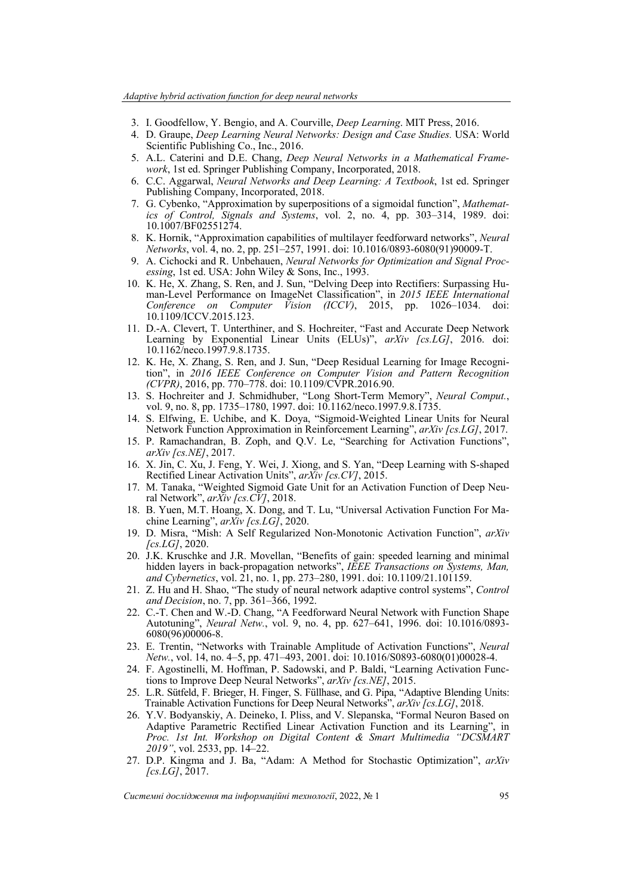- 3. I. Goodfellow, Y. Bengio, and A. Courville, *Deep Learning*. MIT Press, 2016.
- 4. D. Graupe, *Deep Learning Neural Networks: Design and Case Studies.* USA: World Scientific Publishing Co., Inc., 2016.
- 5. A.L. Caterini and D.E. Chang, *Deep Neural Networks in a Mathematical Framework*, 1st ed. Springer Publishing Company, Incorporated, 2018.
- 6. C.C. Aggarwal, *Neural Networks and Deep Learning: A Textbook*, 1st ed. Springer Publishing Company, Incorporated, 2018.
- 7. G. Cybenko, "Approximation by superpositions of a sigmoidal function", *Mathematics of Control, Signals and Systems*, vol. 2, no. 4, pp. 303–314, 1989. doi: 10.1007/BF02551274.
- 8. K. Hornik, "Approximation capabilities of multilayer feedforward networks", *Neural Networks*, vol. 4, no. 2, pp. 251–257, 1991. doi: 10.1016/0893-6080(91)90009-T.
- 9. A. Cichocki and R. Unbehauen, *Neural Networks for Optimization and Signal Processing*, 1st ed. USA: John Wiley & Sons, Inc., 1993.
- 10. K. He, X. Zhang, S. Ren, and J. Sun, "Delving Deep into Rectifiers: Surpassing Human-Level Performance on ImageNet Classification", in *2015 IEEE International Conference on Computer Vision (ICCV)*, 2015, pp. 1026–1034. doi: 10.1109/ICCV.2015.123.
- 11. D.-A. Clevert, T. Unterthiner, and S. Hochreiter, "Fast and Accurate Deep Network Learning by Exponential Linear Units (ELUs)", *arXiv [cs.LG]*, 2016. doi: 10.1162/neco.1997.9.8.1735.
- 12. K. He, X. Zhang, S. Ren, and J. Sun, "Deep Residual Learning for Image Recognition", in *2016 IEEE Conference on Computer Vision and Pattern Recognition (CVPR)*, 2016, pp. 770–778. doi: 10.1109/CVPR.2016.90.
- 13. S. Hochreiter and J. Schmidhuber, "Long Short-Term Memory", *Neural Comput.*, vol. 9, no. 8, pp. 1735–1780, 1997. doi: 10.1162/neco.1997.9.8.1735.
- 14. S. Elfwing, E. Uchibe, and K. Doya, "Sigmoid-Weighted Linear Units for Neural Network Function Approximation in Reinforcement Learning", *arXiv [cs.LG]*, 2017.
- 15. P. Ramachandran, B. Zoph, and Q.V. Le, "Searching for Activation Functions", *arXiv [cs.NE]*, 2017.
- 16. X. Jin, C. Xu, J. Feng, Y. Wei, J. Xiong, and S. Yan, "Deep Learning with S-shaped Rectified Linear Activation Units", *arXiv [cs.CV]*, 2015.
- 17. M. Tanaka, "Weighted Sigmoid Gate Unit for an Activation Function of Deep Neural Network", *arXiv [cs.CV]*, 2018.
- 18. B. Yuen, M.T. Hoang, X. Dong, and T. Lu, "Universal Activation Function For Machine Learning", *arXiv [cs.LG]*, 2020.
- 19. D. Misra, "Mish: A Self Regularized Non-Monotonic Activation Function", *arXiv [cs.LG]*, 2020.
- 20. J.K. Kruschke and J.R. Movellan, "Benefits of gain: speeded learning and minimal hidden layers in back-propagation networks", *IEEE Transactions on Systems, Man, and Cybernetics*, vol. 21, no. 1, pp. 273–280, 1991. doi: 10.1109/21.101159.
- 21. Z. Hu and H. Shao, "The study of neural network adaptive control systems", *Control and Decision*, no. 7, pp. 361–366, 1992.
- 22. C.-T. Chen and W.-D. Chang, "A Feedforward Neural Network with Function Shape Autotuning", *Neural Netw.*, vol. 9, no. 4, pp. 627–641, 1996. doi: 10.1016/0893- 6080(96)00006-8.
- 23. E. Trentin, "Networks with Trainable Amplitude of Activation Functions", *Neural Netw.*, vol. 14, no. 4–5, pp. 471–493, 2001. doi: 10.1016/S0893-6080(01)00028-4.
- 24. F. Agostinelli, M. Hoffman, P. Sadowski, and P. Baldi, "Learning Activation Functions to Improve Deep Neural Networks", *arXiv [cs.NE]*, 2015.
- 25. L.R. Sütfeld, F. Brieger, H. Finger, S. Füllhase, and G. Pipa, "Adaptive Blending Units: Trainable Activation Functions for Deep Neural Networks", *arXiv [cs.LG]*, 2018.
- 26. Y.V. Bodyanskiy, A. Deineko, I. Pliss, and V. Slepanska, "Formal Neuron Based on Adaptive Parametric Rectified Linear Activation Function and its Learning", in *Proc. 1st Int. Workshop on Digital Content & Smart Multimedia "DCSMART 2019"*, vol. 2533, pp. 14–22.
- 27. D.P. Kingma and J. Ba, "Adam: A Method for Stochastic Optimization", *arXiv [cs.LG]*, 2017.

*Системні дослідження та інформаційні технології*, 2022, № 1 95